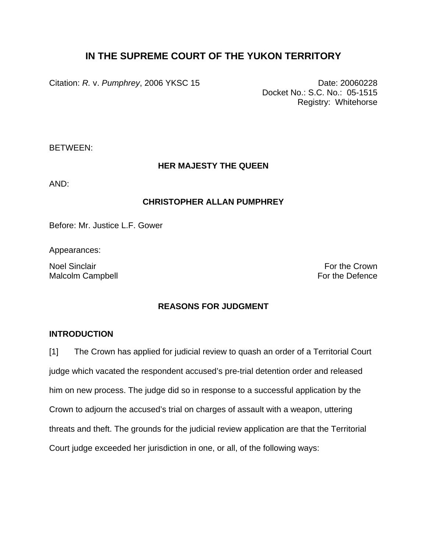# **IN THE SUPREME COURT OF THE YUKON TERRITORY**

Citation: *R.* v. *Pumphrey*, 2006 YKSC 15 Date: 20060228

Docket No.: S.C. No.: 05-1515 Registry: Whitehorse

BETWEEN:

## **HER MAJESTY THE QUEEN**

AND:

### **CHRISTOPHER ALLAN PUMPHREY**

Before: Mr. Justice L.F. Gower

Appearances:

Noel Sinclair **For the Crown For the Crown** Malcolm Campbell **For the Defence** 

## **REASONS FOR JUDGMENT**

## **INTRODUCTION**

[1] The Crown has applied for judicial review to quash an order of a Territorial Court judge which vacated the respondent accused's pre-trial detention order and released him on new process. The judge did so in response to a successful application by the Crown to adjourn the accused's trial on charges of assault with a weapon, uttering threats and theft. The grounds for the judicial review application are that the Territorial Court judge exceeded her jurisdiction in one, or all, of the following ways: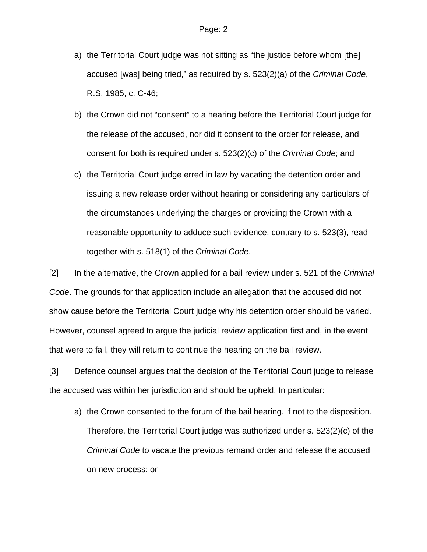- a) the Territorial Court judge was not sitting as "the justice before whom [the] accused [was] being tried," as required by s. 523(2)(a) of the *Criminal Code*, R.S. 1985, c. C-46;
- b) the Crown did not "consent" to a hearing before the Territorial Court judge for the release of the accused, nor did it consent to the order for release, and consent for both is required under s. 523(2)(c) of the *Criminal Code*; and
- c) the Territorial Court judge erred in law by vacating the detention order and issuing a new release order without hearing or considering any particulars of the circumstances underlying the charges or providing the Crown with a reasonable opportunity to adduce such evidence, contrary to s. 523(3), read together with s. 518(1) of the *Criminal Code*.

[2] In the alternative, the Crown applied for a bail review under s. 521 of the *Criminal Code*. The grounds for that application include an allegation that the accused did not show cause before the Territorial Court judge why his detention order should be varied. However, counsel agreed to argue the judicial review application first and, in the event that were to fail, they will return to continue the hearing on the bail review.

[3] Defence counsel argues that the decision of the Territorial Court judge to release the accused was within her jurisdiction and should be upheld. In particular:

a) the Crown consented to the forum of the bail hearing, if not to the disposition. Therefore, the Territorial Court judge was authorized under s. 523(2)(c) of the *Criminal Code* to vacate the previous remand order and release the accused on new process; or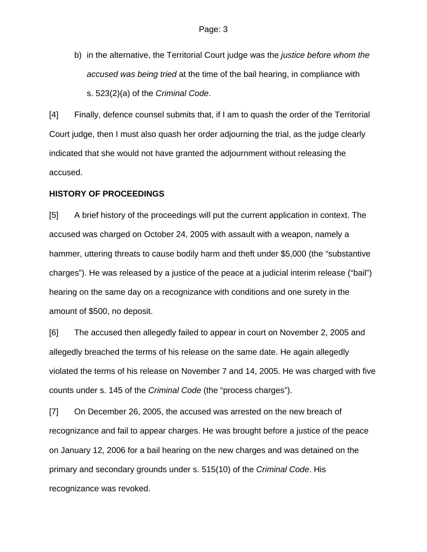b) in the alternative, the Territorial Court judge was the *justice before whom the accused was being tried* at the time of the bail hearing, in compliance with s. 523(2)(a) of the *Criminal Code*.

[4] Finally, defence counsel submits that, if I am to quash the order of the Territorial Court judge, then I must also quash her order adjourning the trial, as the judge clearly indicated that she would not have granted the adjournment without releasing the accused.

### **HISTORY OF PROCEEDINGS**

[5] A brief history of the proceedings will put the current application in context. The accused was charged on October 24, 2005 with assault with a weapon, namely a hammer, uttering threats to cause bodily harm and theft under \$5,000 (the "substantive charges"). He was released by a justice of the peace at a judicial interim release ("bail") hearing on the same day on a recognizance with conditions and one surety in the amount of \$500, no deposit.

[6] The accused then allegedly failed to appear in court on November 2, 2005 and allegedly breached the terms of his release on the same date. He again allegedly violated the terms of his release on November 7 and 14, 2005. He was charged with five counts under s. 145 of the *Criminal Code* (the "process charges").

[7] On December 26, 2005, the accused was arrested on the new breach of recognizance and fail to appear charges. He was brought before a justice of the peace on January 12, 2006 for a bail hearing on the new charges and was detained on the primary and secondary grounds under s. 515(10) of the *Criminal Code*. His recognizance was revoked.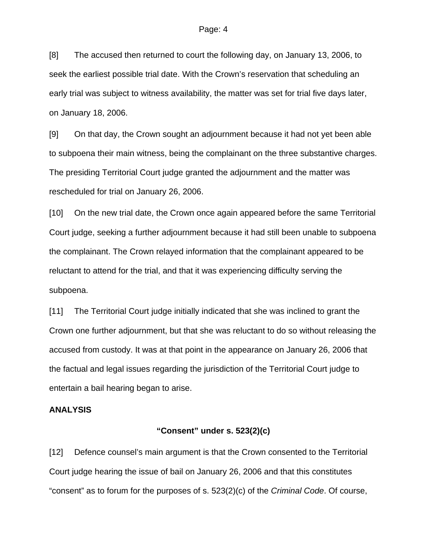[8] The accused then returned to court the following day, on January 13, 2006, to seek the earliest possible trial date. With the Crown's reservation that scheduling an early trial was subject to witness availability, the matter was set for trial five days later, on January 18, 2006.

[9] On that day, the Crown sought an adjournment because it had not yet been able to subpoena their main witness, being the complainant on the three substantive charges. The presiding Territorial Court judge granted the adjournment and the matter was rescheduled for trial on January 26, 2006.

[10] On the new trial date, the Crown once again appeared before the same Territorial Court judge, seeking a further adjournment because it had still been unable to subpoena the complainant. The Crown relayed information that the complainant appeared to be reluctant to attend for the trial, and that it was experiencing difficulty serving the subpoena.

[11] The Territorial Court judge initially indicated that she was inclined to grant the Crown one further adjournment, but that she was reluctant to do so without releasing the accused from custody. It was at that point in the appearance on January 26, 2006 that the factual and legal issues regarding the jurisdiction of the Territorial Court judge to entertain a bail hearing began to arise.

### **ANALYSIS**

## **"Consent" under s. 523(2)(c)**

[12] Defence counsel's main argument is that the Crown consented to the Territorial Court judge hearing the issue of bail on January 26, 2006 and that this constitutes "consent" as to forum for the purposes of s. 523(2)(c) of the *Criminal Code*. Of course,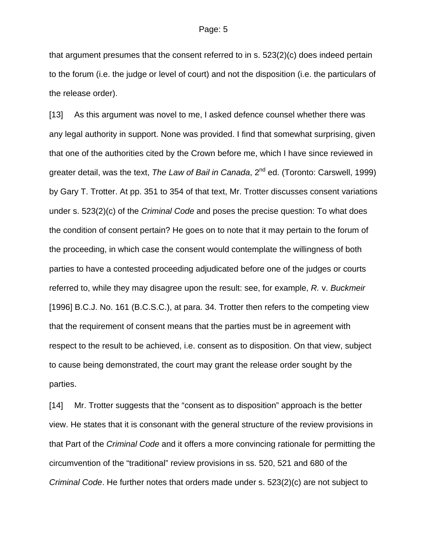that argument presumes that the consent referred to in s. 523(2)(c) does indeed pertain to the forum (i.e. the judge or level of court) and not the disposition (i.e. the particulars of the release order).

[13] As this argument was novel to me, I asked defence counsel whether there was any legal authority in support. None was provided. I find that somewhat surprising, given that one of the authorities cited by the Crown before me, which I have since reviewed in greater detail, was the text, *The Law of Bail in Canada*, 2<sup>nd</sup> ed. (Toronto: Carswell, 1999) by Gary T. Trotter. At pp. 351 to 354 of that text, Mr. Trotter discusses consent variations under s. 523(2)(c) of the *Criminal Code* and poses the precise question: To what does the condition of consent pertain? He goes on to note that it may pertain to the forum of the proceeding, in which case the consent would contemplate the willingness of both parties to have a contested proceeding adjudicated before one of the judges or courts referred to, while they may disagree upon the result: see, for example, *R.* v. *Buckmeir* [1996] B.C.J. No. 161 (B.C.S.C.), at para. 34. Trotter then refers to the competing view that the requirement of consent means that the parties must be in agreement with respect to the result to be achieved, i.e. consent as to disposition. On that view, subject to cause being demonstrated, the court may grant the release order sought by the parties.

[14] Mr. Trotter suggests that the "consent as to disposition" approach is the better view. He states that it is consonant with the general structure of the review provisions in that Part of the *Criminal Code* and it offers a more convincing rationale for permitting the circumvention of the "traditional" review provisions in ss. 520, 521 and 680 of the *Criminal Code*. He further notes that orders made under s. 523(2)(c) are not subject to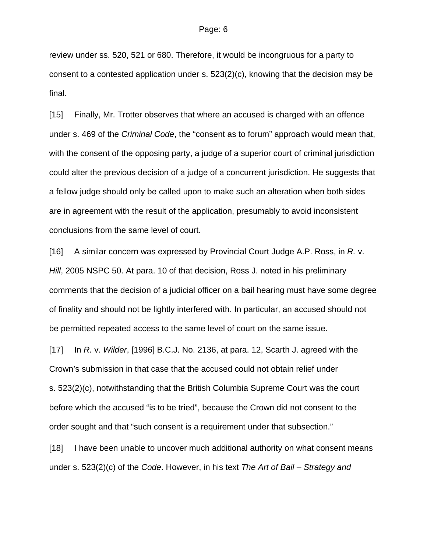review under ss. 520, 521 or 680. Therefore, it would be incongruous for a party to consent to a contested application under s. 523(2)(c), knowing that the decision may be final.

[15] Finally, Mr. Trotter observes that where an accused is charged with an offence under s. 469 of the *Criminal Code*, the "consent as to forum" approach would mean that, with the consent of the opposing party, a judge of a superior court of criminal jurisdiction could alter the previous decision of a judge of a concurrent jurisdiction. He suggests that a fellow judge should only be called upon to make such an alteration when both sides are in agreement with the result of the application, presumably to avoid inconsistent conclusions from the same level of court.

[16] A similar concern was expressed by Provincial Court Judge A.P. Ross, in *R.* v. *Hill*, 2005 NSPC 50. At para. 10 of that decision, Ross J. noted in his preliminary comments that the decision of a judicial officer on a bail hearing must have some degree of finality and should not be lightly interfered with. In particular, an accused should not be permitted repeated access to the same level of court on the same issue.

[17] In *R.* v. *Wilder*, [1996] B.C.J. No. 2136, at para. 12, Scarth J. agreed with the Crown's submission in that case that the accused could not obtain relief under s. 523(2)(c), notwithstanding that the British Columbia Supreme Court was the court before which the accused "is to be tried", because the Crown did not consent to the order sought and that "such consent is a requirement under that subsection."

[18] I have been unable to uncover much additional authority on what consent means under s. 523(2)(c) of the *Code*. However, in his text *The Art of Bail – Strategy and*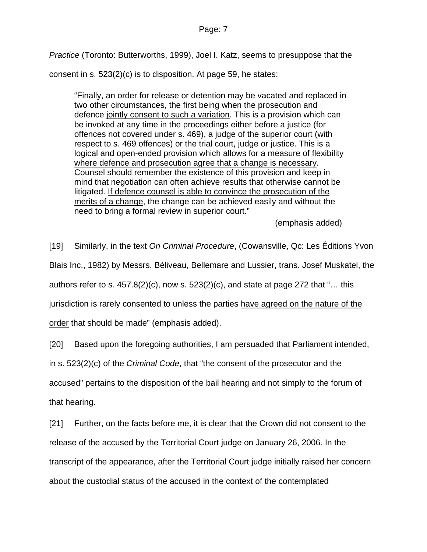*Practice* (Toronto: Butterworths, 1999), Joel I. Katz, seems to presuppose that the

consent in s. 523(2)(c) is to disposition. At page 59, he states:

"Finally, an order for release or detention may be vacated and replaced in two other circumstances, the first being when the prosecution and defence jointly consent to such a variation. This is a provision which can be invoked at any time in the proceedings either before a justice (for offences not covered under s. 469), a judge of the superior court (with respect to s. 469 offences) or the trial court, judge or justice. This is a logical and open-ended provision which allows for a measure of flexibility where defence and prosecution agree that a change is necessary. Counsel should remember the existence of this provision and keep in mind that negotiation can often achieve results that otherwise cannot be litigated. If defence counsel is able to convince the prosecution of the merits of a change, the change can be achieved easily and without the need to bring a formal review in superior court."

(emphasis added)

[19] Similarly, in the text *On Criminal Procedure*, (Cowansville, Qc: Les Éditions Yvon

Blais Inc., 1982) by Messrs. Béliveau, Bellemare and Lussier, trans. Josef Muskatel, the

authors refer to s.  $457.8(2)(c)$ , now s.  $523(2)(c)$ , and state at page 272 that "... this

jurisdiction is rarely consented to unless the parties have agreed on the nature of the

order that should be made" (emphasis added).

[20] Based upon the foregoing authorities, I am persuaded that Parliament intended,

in s. 523(2)(c) of the *Criminal Code*, that "the consent of the prosecutor and the

accused" pertains to the disposition of the bail hearing and not simply to the forum of that hearing.

[21] Further, on the facts before me, it is clear that the Crown did not consent to the release of the accused by the Territorial Court judge on January 26, 2006. In the transcript of the appearance, after the Territorial Court judge initially raised her concern about the custodial status of the accused in the context of the contemplated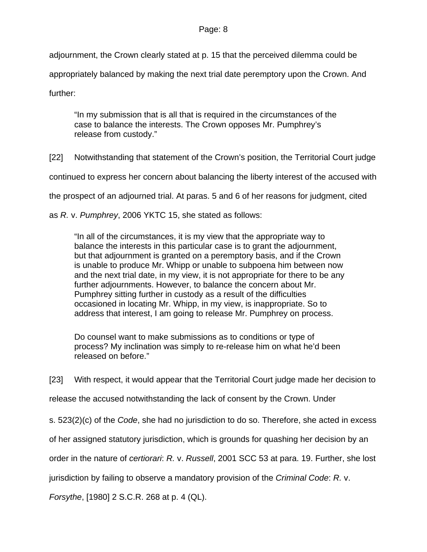adjournment, the Crown clearly stated at p. 15 that the perceived dilemma could be appropriately balanced by making the next trial date peremptory upon the Crown. And further:

"In my submission that is all that is required in the circumstances of the case to balance the interests. The Crown opposes Mr. Pumphrey's release from custody."

[22] Notwithstanding that statement of the Crown's position, the Territorial Court judge

continued to express her concern about balancing the liberty interest of the accused with

the prospect of an adjourned trial. At paras. 5 and 6 of her reasons for judgment, cited

as *R.* v. *Pumphrey*, 2006 YKTC 15, she stated as follows:

"In all of the circumstances, it is my view that the appropriate way to balance the interests in this particular case is to grant the adjournment, but that adjournment is granted on a peremptory basis, and if the Crown is unable to produce Mr. Whipp or unable to subpoena him between now and the next trial date, in my view, it is not appropriate for there to be any further adjournments. However, to balance the concern about Mr. Pumphrey sitting further in custody as a result of the difficulties occasioned in locating Mr. Whipp, in my view, is inappropriate. So to address that interest, I am going to release Mr. Pumphrey on process.

Do counsel want to make submissions as to conditions or type of process? My inclination was simply to re-release him on what he'd been released on before."

[23] With respect, it would appear that the Territorial Court judge made her decision to

release the accused notwithstanding the lack of consent by the Crown. Under

s. 523(2)(c) of the *Code*, she had no jurisdiction to do so. Therefore, she acted in excess

of her assigned statutory jurisdiction, which is grounds for quashing her decision by an

order in the nature of *certiorari*: *R.* v. *Russell*, 2001 SCC 53 at para. 19. Further, she lost

jurisdiction by failing to observe a mandatory provision of the *Criminal Code*: *R.* v.

*Forsythe*, [1980] 2 S.C.R. 268 at p. 4 (QL).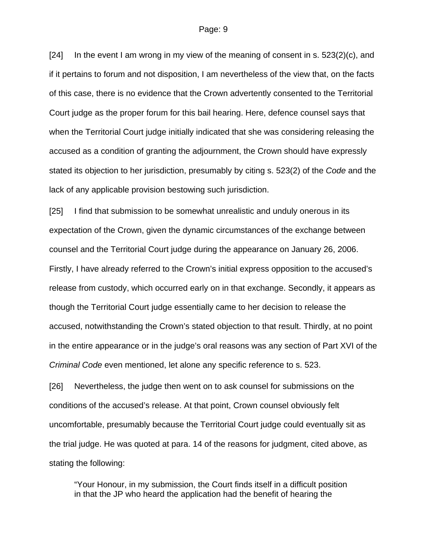[24] In the event I am wrong in my view of the meaning of consent in s. 523(2)(c), and if it pertains to forum and not disposition, I am nevertheless of the view that, on the facts of this case, there is no evidence that the Crown advertently consented to the Territorial Court judge as the proper forum for this bail hearing. Here, defence counsel says that when the Territorial Court judge initially indicated that she was considering releasing the accused as a condition of granting the adjournment, the Crown should have expressly stated its objection to her jurisdiction, presumably by citing s. 523(2) of the *Code* and the lack of any applicable provision bestowing such jurisdiction.

[25] I find that submission to be somewhat unrealistic and unduly onerous in its expectation of the Crown, given the dynamic circumstances of the exchange between counsel and the Territorial Court judge during the appearance on January 26, 2006. Firstly, I have already referred to the Crown's initial express opposition to the accused's release from custody, which occurred early on in that exchange. Secondly, it appears as though the Territorial Court judge essentially came to her decision to release the accused, notwithstanding the Crown's stated objection to that result. Thirdly, at no point in the entire appearance or in the judge's oral reasons was any section of Part XVI of the *Criminal Code* even mentioned, let alone any specific reference to s. 523.

[26] Nevertheless, the judge then went on to ask counsel for submissions on the conditions of the accused's release. At that point, Crown counsel obviously felt uncomfortable, presumably because the Territorial Court judge could eventually sit as the trial judge. He was quoted at para. 14 of the reasons for judgment, cited above, as stating the following:

"Your Honour, in my submission, the Court finds itself in a difficult position in that the JP who heard the application had the benefit of hearing the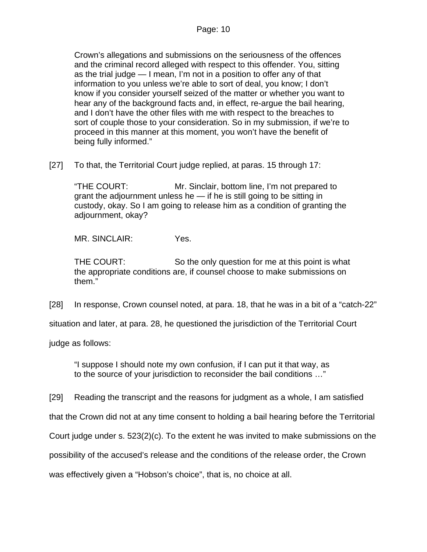Crown's allegations and submissions on the seriousness of the offences and the criminal record alleged with respect to this offender. You, sitting as the trial judge — I mean, I'm not in a position to offer any of that information to you unless we're able to sort of deal, you know; I don't know if you consider yourself seized of the matter or whether you want to hear any of the background facts and, in effect, re-argue the bail hearing, and I don't have the other files with me with respect to the breaches to sort of couple those to your consideration. So in my submission, if we're to proceed in this manner at this moment, you won't have the benefit of being fully informed."

[27] To that, the Territorial Court judge replied, at paras. 15 through 17:

"THE COURT: Mr. Sinclair, bottom line, I'm not prepared to grant the adjournment unless he — if he is still going to be sitting in custody, okay. So I am going to release him as a condition of granting the adjournment, okay?

MR. SINCLAIR: Yes.

THE COURT: So the only question for me at this point is what the appropriate conditions are, if counsel choose to make submissions on them."

[28] In response, Crown counsel noted, at para. 18, that he was in a bit of a "catch-22"

situation and later, at para. 28, he questioned the jurisdiction of the Territorial Court

judge as follows:

"I suppose I should note my own confusion, if I can put it that way, as to the source of your jurisdiction to reconsider the bail conditions …"

[29] Reading the transcript and the reasons for judgment as a whole, I am satisfied

that the Crown did not at any time consent to holding a bail hearing before the Territorial

Court judge under s. 523(2)(c). To the extent he was invited to make submissions on the

possibility of the accused's release and the conditions of the release order, the Crown

was effectively given a "Hobson's choice", that is, no choice at all.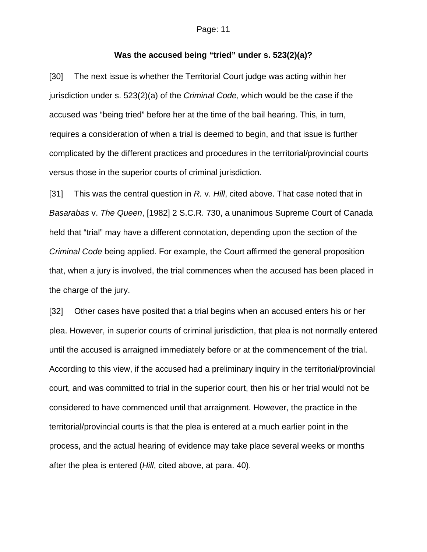### **Was the accused being "tried" under s. 523(2)(a)?**

[30] The next issue is whether the Territorial Court judge was acting within her jurisdiction under s. 523(2)(a) of the *Criminal Code*, which would be the case if the accused was "being tried" before her at the time of the bail hearing. This, in turn, requires a consideration of when a trial is deemed to begin, and that issue is further complicated by the different practices and procedures in the territorial/provincial courts versus those in the superior courts of criminal jurisdiction.

[31] This was the central question in *R.* v. *Hill*, cited above. That case noted that in *Basarabas* v. *The Queen*, [1982] 2 S.C.R. 730, a unanimous Supreme Court of Canada held that "trial" may have a different connotation, depending upon the section of the *Criminal Code* being applied. For example, the Court affirmed the general proposition that, when a jury is involved, the trial commences when the accused has been placed in the charge of the jury.

[32] Other cases have posited that a trial begins when an accused enters his or her plea. However, in superior courts of criminal jurisdiction, that plea is not normally entered until the accused is arraigned immediately before or at the commencement of the trial. According to this view, if the accused had a preliminary inquiry in the territorial/provincial court, and was committed to trial in the superior court, then his or her trial would not be considered to have commenced until that arraignment. However, the practice in the territorial/provincial courts is that the plea is entered at a much earlier point in the process, and the actual hearing of evidence may take place several weeks or months after the plea is entered (*Hill*, cited above, at para. 40).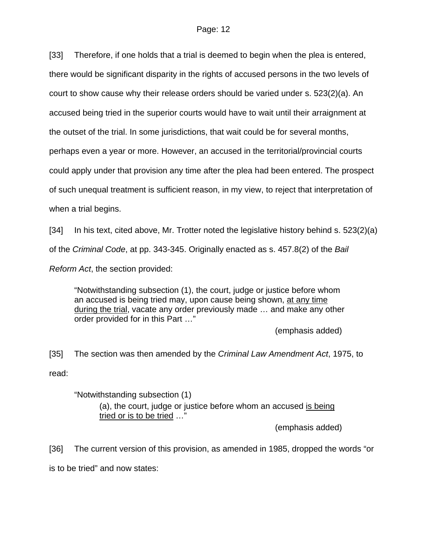[33] Therefore, if one holds that a trial is deemed to begin when the plea is entered, there would be significant disparity in the rights of accused persons in the two levels of court to show cause why their release orders should be varied under s. 523(2)(a). An accused being tried in the superior courts would have to wait until their arraignment at the outset of the trial. In some jurisdictions, that wait could be for several months, perhaps even a year or more. However, an accused in the territorial/provincial courts could apply under that provision any time after the plea had been entered. The prospect of such unequal treatment is sufficient reason, in my view, to reject that interpretation of when a trial begins.

[34] In his text, cited above, Mr. Trotter noted the legislative history behind s. 523(2)(a) of the *Criminal Code*, at pp. 343-345. Originally enacted as s. 457.8(2) of the *Bail Reform Act*, the section provided:

"Notwithstanding subsection (1), the court, judge or justice before whom an accused is being tried may, upon cause being shown, at any time during the trial, vacate any order previously made ... and make any other order provided for in this Part …"

(emphasis added)

[35] The section was then amended by the *Criminal Law Amendment Act*, 1975, to read:

"Notwithstanding subsection (1)

(a), the court, judge or justice before whom an accused is being tried or is to be tried …"

(emphasis added)

[36] The current version of this provision, as amended in 1985, dropped the words "or is to be tried" and now states: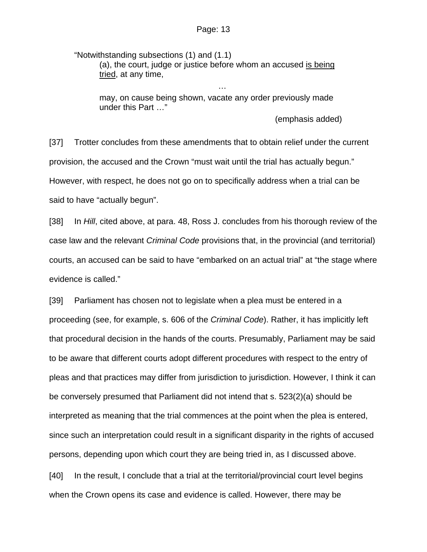"Notwithstanding subsections (1) and (1.1) (a), the court, judge or justice before whom an accused is being tried, at any time,

may, on cause being shown, vacate any order previously made under this Part …"

…

(emphasis added)

[37] Trotter concludes from these amendments that to obtain relief under the current provision, the accused and the Crown "must wait until the trial has actually begun." However, with respect, he does not go on to specifically address when a trial can be said to have "actually begun".

[38] In *Hill*, cited above, at para. 48, Ross J. concludes from his thorough review of the case law and the relevant *Criminal Code* provisions that, in the provincial (and territorial) courts, an accused can be said to have "embarked on an actual trial" at "the stage where evidence is called."

[39] Parliament has chosen not to legislate when a plea must be entered in a proceeding (see, for example, s. 606 of the *Criminal Code*). Rather, it has implicitly left that procedural decision in the hands of the courts. Presumably, Parliament may be said to be aware that different courts adopt different procedures with respect to the entry of pleas and that practices may differ from jurisdiction to jurisdiction. However, I think it can be conversely presumed that Parliament did not intend that s. 523(2)(a) should be interpreted as meaning that the trial commences at the point when the plea is entered, since such an interpretation could result in a significant disparity in the rights of accused persons, depending upon which court they are being tried in, as I discussed above.

[40] In the result, I conclude that a trial at the territorial/provincial court level begins when the Crown opens its case and evidence is called. However, there may be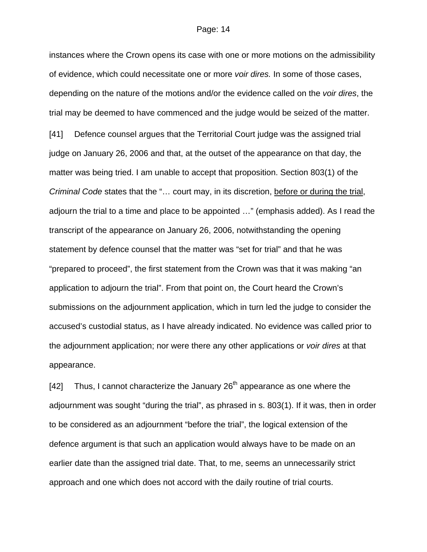instances where the Crown opens its case with one or more motions on the admissibility of evidence, which could necessitate one or more *voir dires.* In some of those cases, depending on the nature of the motions and/or the evidence called on the *voir dires*, the trial may be deemed to have commenced and the judge would be seized of the matter. [41] Defence counsel argues that the Territorial Court judge was the assigned trial judge on January 26, 2006 and that, at the outset of the appearance on that day, the matter was being tried. I am unable to accept that proposition. Section 803(1) of the *Criminal Code* states that the "… court may, in its discretion, before or during the trial, adjourn the trial to a time and place to be appointed …" (emphasis added). As I read the transcript of the appearance on January 26, 2006, notwithstanding the opening statement by defence counsel that the matter was "set for trial" and that he was "prepared to proceed", the first statement from the Crown was that it was making "an application to adjourn the trial". From that point on, the Court heard the Crown's submissions on the adjournment application, which in turn led the judge to consider the accused's custodial status, as I have already indicated. No evidence was called prior to the adjournment application; nor were there any other applications or *voir dires* at that appearance.

[42] Thus, I cannot characterize the January  $26<sup>th</sup>$  appearance as one where the adjournment was sought "during the trial", as phrased in s. 803(1). If it was, then in order to be considered as an adjournment "before the trial", the logical extension of the defence argument is that such an application would always have to be made on an earlier date than the assigned trial date. That, to me, seems an unnecessarily strict approach and one which does not accord with the daily routine of trial courts.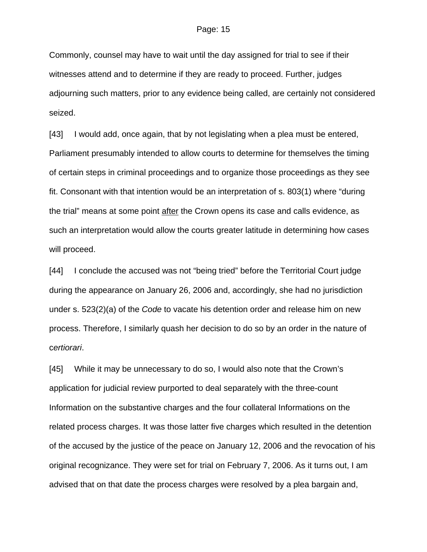Commonly, counsel may have to wait until the day assigned for trial to see if their witnesses attend and to determine if they are ready to proceed. Further, judges adjourning such matters, prior to any evidence being called, are certainly not considered seized.

[43] I would add, once again, that by not legislating when a plea must be entered, Parliament presumably intended to allow courts to determine for themselves the timing of certain steps in criminal proceedings and to organize those proceedings as they see fit. Consonant with that intention would be an interpretation of s. 803(1) where "during the trial" means at some point after the Crown opens its case and calls evidence, as such an interpretation would allow the courts greater latitude in determining how cases will proceed.

[44] I conclude the accused was not "being tried" before the Territorial Court judge during the appearance on January 26, 2006 and, accordingly, she had no jurisdiction under s. 523(2)(a) of the *Code* to vacate his detention order and release him on new process. Therefore, I similarly quash her decision to do so by an order in the nature of c*ertiorari*.

[45] While it may be unnecessary to do so, I would also note that the Crown's application for judicial review purported to deal separately with the three-count Information on the substantive charges and the four collateral Informations on the related process charges. It was those latter five charges which resulted in the detention of the accused by the justice of the peace on January 12, 2006 and the revocation of his original recognizance. They were set for trial on February 7, 2006. As it turns out, I am advised that on that date the process charges were resolved by a plea bargain and,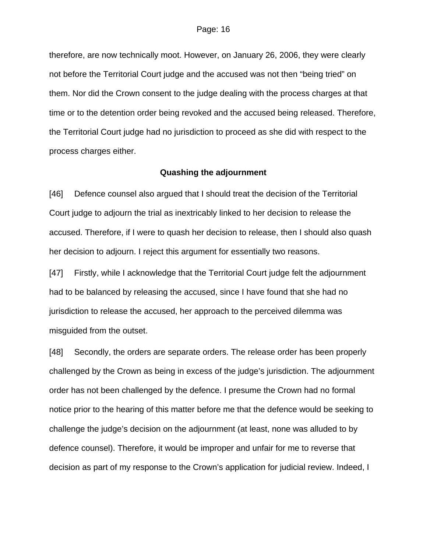therefore, are now technically moot. However, on January 26, 2006, they were clearly not before the Territorial Court judge and the accused was not then "being tried" on them. Nor did the Crown consent to the judge dealing with the process charges at that time or to the detention order being revoked and the accused being released. Therefore, the Territorial Court judge had no jurisdiction to proceed as she did with respect to the process charges either.

#### **Quashing the adjournment**

[46] Defence counsel also argued that I should treat the decision of the Territorial Court judge to adjourn the trial as inextricably linked to her decision to release the accused. Therefore, if I were to quash her decision to release, then I should also quash her decision to adjourn. I reject this argument for essentially two reasons.

[47] Firstly, while I acknowledge that the Territorial Court judge felt the adjournment had to be balanced by releasing the accused, since I have found that she had no jurisdiction to release the accused, her approach to the perceived dilemma was misguided from the outset.

[48] Secondly, the orders are separate orders. The release order has been properly challenged by the Crown as being in excess of the judge's jurisdiction. The adjournment order has not been challenged by the defence. I presume the Crown had no formal notice prior to the hearing of this matter before me that the defence would be seeking to challenge the judge's decision on the adjournment (at least, none was alluded to by defence counsel). Therefore, it would be improper and unfair for me to reverse that decision as part of my response to the Crown's application for judicial review. Indeed, I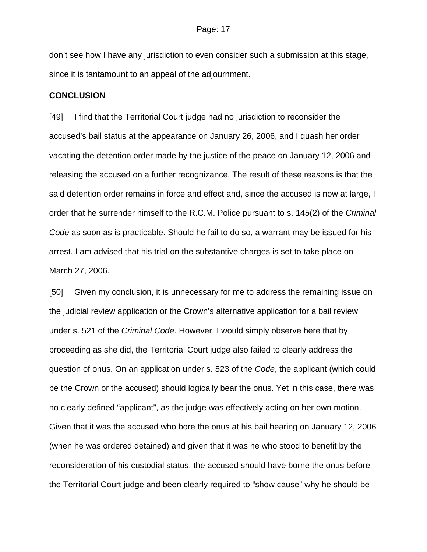don't see how I have any jurisdiction to even consider such a submission at this stage, since it is tantamount to an appeal of the adjournment.

### **CONCLUSION**

[49] I find that the Territorial Court judge had no jurisdiction to reconsider the accused's bail status at the appearance on January 26, 2006, and I quash her order vacating the detention order made by the justice of the peace on January 12, 2006 and releasing the accused on a further recognizance. The result of these reasons is that the said detention order remains in force and effect and, since the accused is now at large, I order that he surrender himself to the R.C.M. Police pursuant to s. 145(2) of the *Criminal Code* as soon as is practicable. Should he fail to do so, a warrant may be issued for his arrest. I am advised that his trial on the substantive charges is set to take place on March 27, 2006.

[50] Given my conclusion, it is unnecessary for me to address the remaining issue on the judicial review application or the Crown's alternative application for a bail review under s. 521 of the *Criminal Code*. However, I would simply observe here that by proceeding as she did, the Territorial Court judge also failed to clearly address the question of onus. On an application under s. 523 of the *Code*, the applicant (which could be the Crown or the accused) should logically bear the onus. Yet in this case, there was no clearly defined "applicant", as the judge was effectively acting on her own motion. Given that it was the accused who bore the onus at his bail hearing on January 12, 2006 (when he was ordered detained) and given that it was he who stood to benefit by the reconsideration of his custodial status, the accused should have borne the onus before the Territorial Court judge and been clearly required to "show cause" why he should be